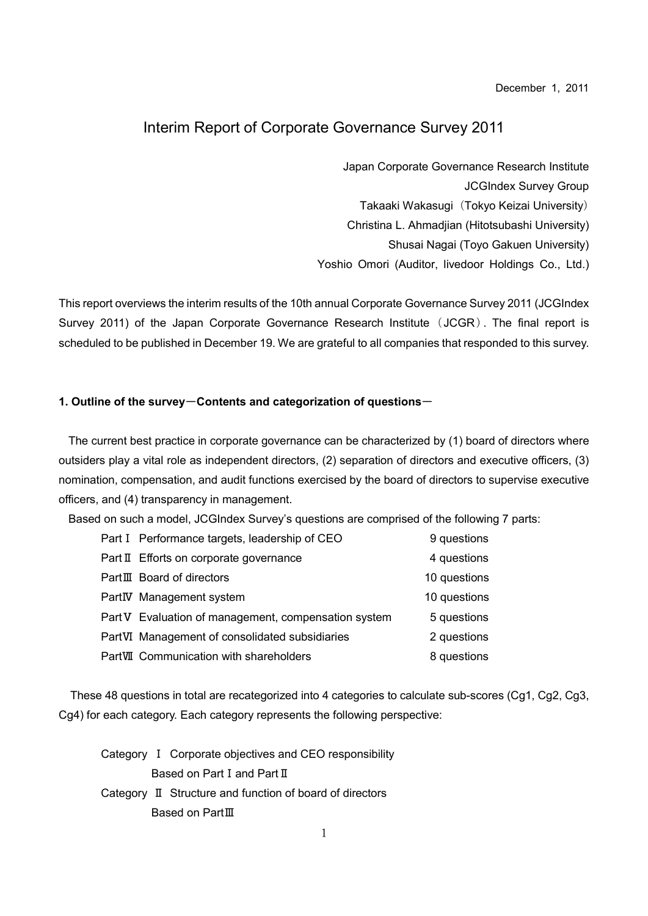December 1, 2011

# Interim Report of Corporate Governance Survey 2011

Japan Corporate Governance Research Institute JCGIndex Survey Group Takaaki Wakasugi (Tokyo Keizai University) Christina L. Ahmadjian (Hitotsubashi University) Shusai Nagai (Toyo Gakuen University) Yoshio Omori (Auditor, livedoor Holdings Co., Ltd.)

This report overviews the interim results of the 10th annual Corporate Governance Survey 2011 (JCGIndex Survey 2011) of the Japan Corporate Governance Research Institute (JCGR). The final report is scheduled to be published in December 19. We are grateful to all companies that responded to this survey.

### 1. Outline of the survey-Contents and categorization of questions-

The current best practice in corporate governance can be characterized by (1) board of directors where outsiders play a vital role as independent directors, (2) separation of directors and executive officers, (3) nomination, compensation, and audit functions exercised by the board of directors to supervise executive officers, and (4) transparency in management.

Based on such a model, JCGIndex Survey's questions are comprised of the following 7 parts:

| Part I Performance targets, leadership of CEO        | 9 questions  |
|------------------------------------------------------|--------------|
| Part II Efforts on corporate governance              | 4 questions  |
| PartIII Board of directors                           | 10 questions |
| PartIV Management system                             | 10 questions |
| Part V Evaluation of management, compensation system | 5 questions  |
| PartVI Management of consolidated subsidiaries       | 2 questions  |
| PartVII Communication with shareholders              | 8 questions  |

These 48 questions in total are recategorized into 4 categories to calculate sub-scores (Cg1, Cg2, Cg3, Cg4) for each category. Each category represents the following perspective:

Category Ⅰ Corporate objectives and CEO responsibility Based on Part Ⅰ and Part Ⅱ Category Ⅱ Structure and function of board of directors Based on PartⅢ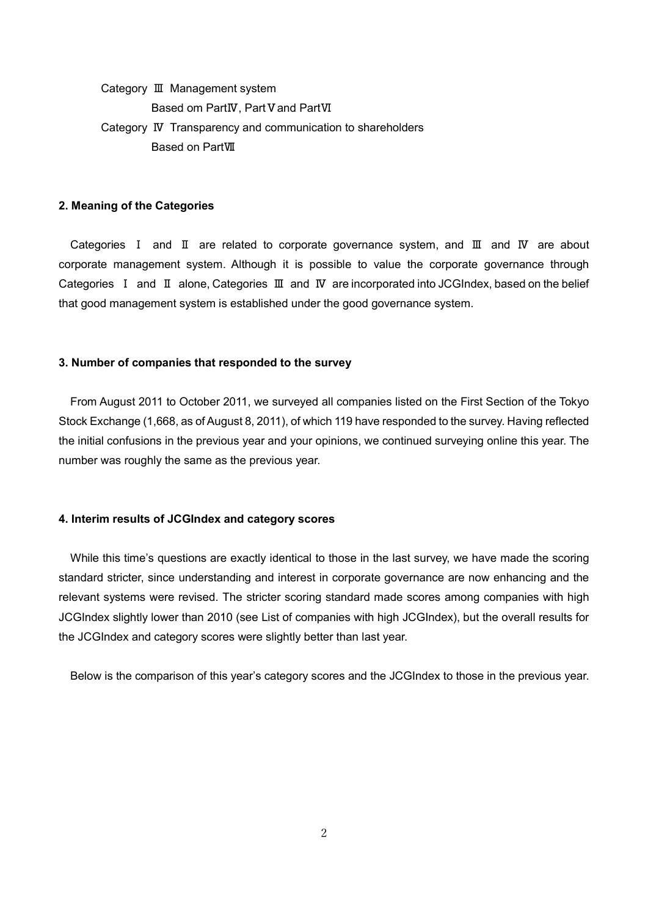Category Ⅲ Management system Based om PartIV, Part V and PartVI Category Ⅳ Transparency and communication to shareholders Based on PartⅦ

#### 2. Meaning of the Categories

Categories Ⅰ and Ⅱ are related to corporate governance system, and Ⅲ and Ⅳ are about corporate management system. Although it is possible to value the corporate governance through Categories Ⅰ and Ⅱ alone, Categories Ⅲ and Ⅳ are incorporated into JCGIndex, based on the belief that good management system is established under the good governance system.

#### 3. Number of companies that responded to the survey

From August 2011 to October 2011, we surveyed all companies listed on the First Section of the Tokyo Stock Exchange (1,668, as of August 8, 2011), of which 119 have responded to the survey. Having reflected the initial confusions in the previous year and your opinions, we continued surveying online this year. The number was roughly the same as the previous year.

#### 4. Interim results of JCGIndex and category scores

While this time's questions are exactly identical to those in the last survey, we have made the scoring standard stricter, since understanding and interest in corporate governance are now enhancing and the relevant systems were revised. The stricter scoring standard made scores among companies with high JCGIndex slightly lower than 2010 (see List of companies with high JCGIndex), but the overall results for the JCGIndex and category scores were slightly better than last year.

Below is the comparison of this year's category scores and the JCGIndex to those in the previous year.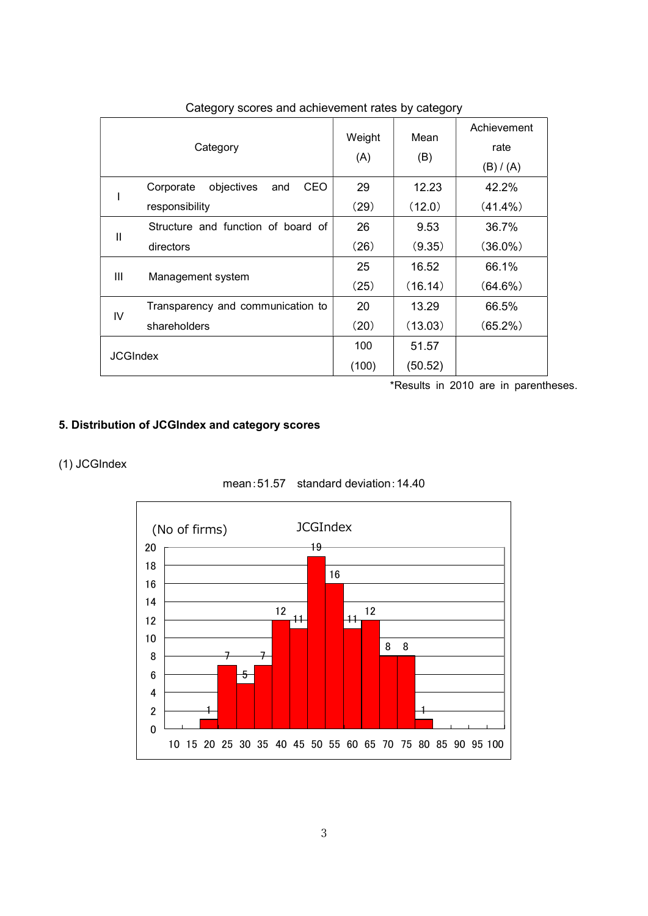| Category        |                                       | Weight<br>(A) | Mean<br>(B) | Achievement<br>rate<br>(B) / (A) |
|-----------------|---------------------------------------|---------------|-------------|----------------------------------|
| I               | objectives<br>CEO<br>Corporate<br>and | 29            | 12.23       | 42.2%                            |
|                 | responsibility                        | (29)          | (12.0)      | $(41.4\%)$                       |
| $\mathbf{I}$    | Structure and function of board of    | 26            | 9.53        | 36.7%                            |
|                 | directors                             | (26)          | (9.35)      | $(36.0\%)$                       |
| Ш               | Management system                     | 25            | 16.52       | 66.1%                            |
|                 |                                       | (25)          | (16.14)     | (64.6%)                          |
| IV              | Transparency and communication to     | 20            | 13.29       | 66.5%                            |
|                 | shareholders                          | (20)          | (13.03)     | $(65.2\%)$                       |
| <b>JCGIndex</b> |                                       | 100           | 51.57       |                                  |
|                 |                                       | (100)         | (50.52)     |                                  |

Category scores and achievement rates by category

\*Results in 2010 are in parentheses.

### 5. Distribution of JCGIndex and category scores

# (1) JCGIndex



mean:51.57 standard deviation:14.40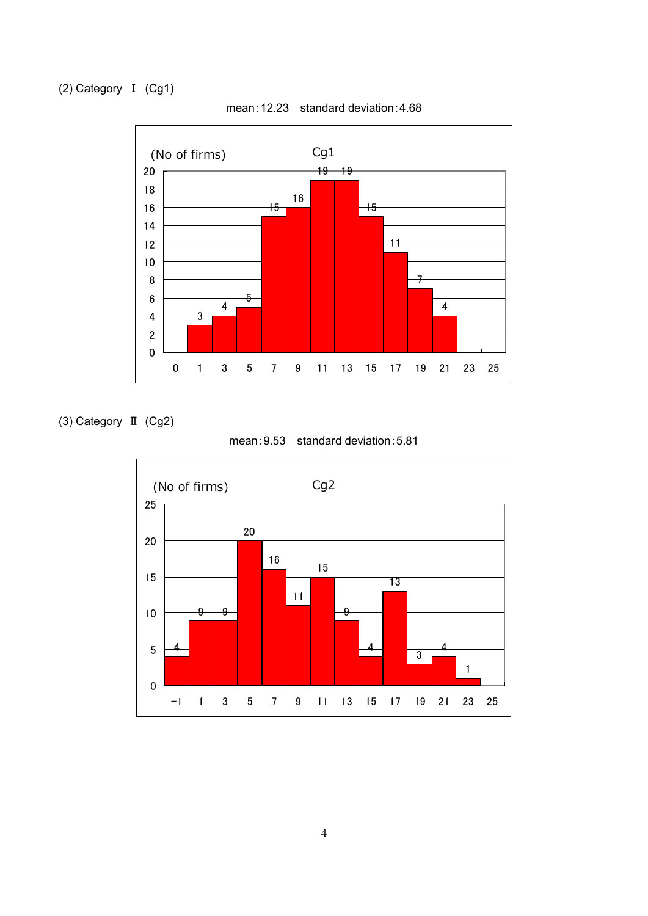(2) Category Ⅰ (Cg1)



mean:12.23 standard deviation:4.68

(3) Category Ⅱ (Cg2)